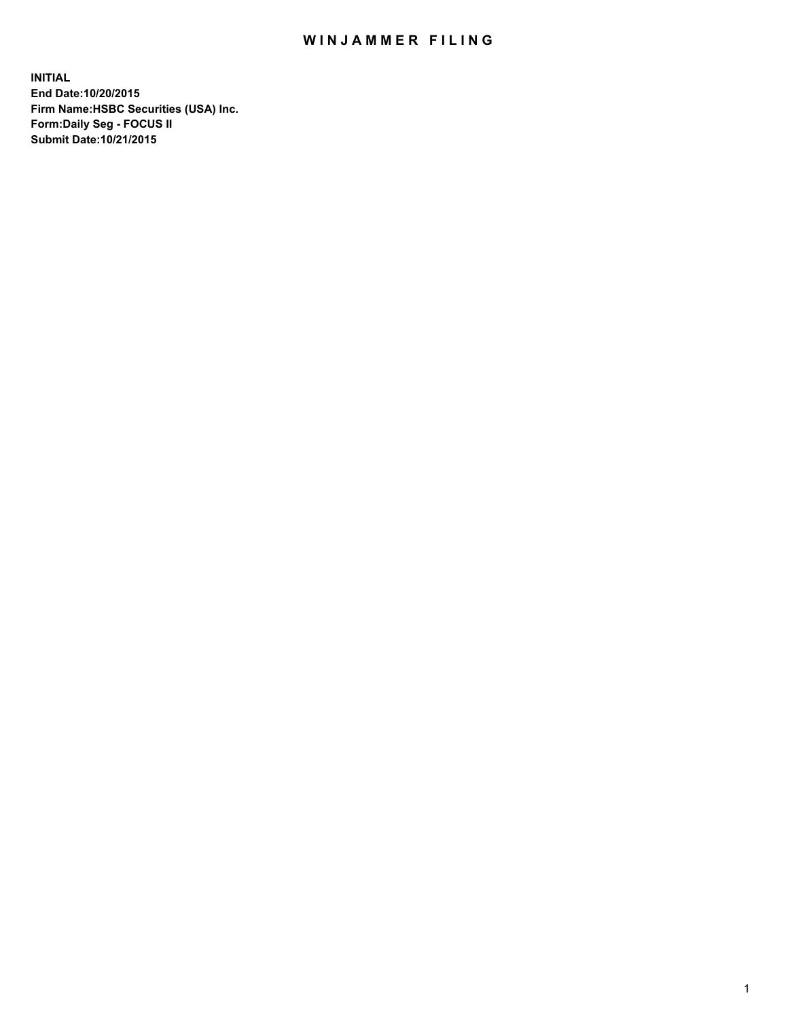## WIN JAMMER FILING

**INITIAL End Date:10/20/2015 Firm Name:HSBC Securities (USA) Inc. Form:Daily Seg - FOCUS II Submit Date:10/21/2015**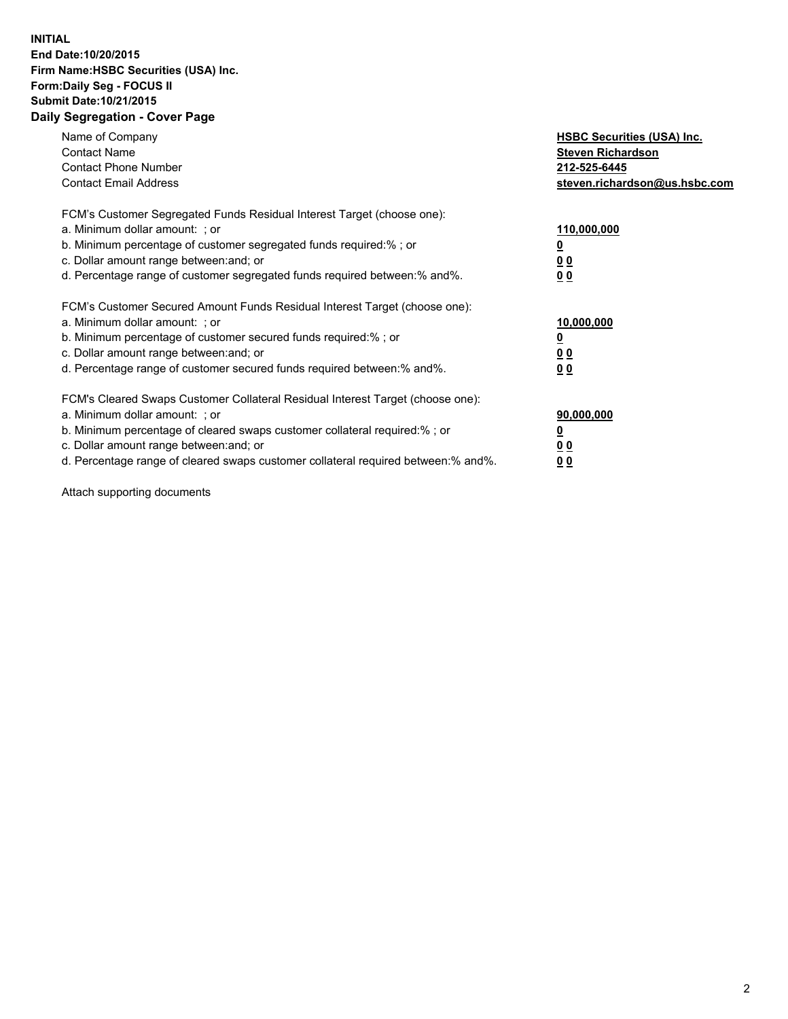## **INITIAL End Date:10/20/2015 Firm Name:HSBC Securities (USA) Inc. Form:Daily Seg - FOCUS II Submit Date:10/21/2015 Daily Segregation - Cover Page**

| Name of Company<br><b>Contact Name</b><br><b>Contact Phone Number</b><br><b>Contact Email Address</b>                                                                                                                                                                                                                         | <b>HSBC Securities (USA) Inc.</b><br><b>Steven Richardson</b><br>212-525-6445<br>steven.richardson@us.hsbc.com |
|-------------------------------------------------------------------------------------------------------------------------------------------------------------------------------------------------------------------------------------------------------------------------------------------------------------------------------|----------------------------------------------------------------------------------------------------------------|
| FCM's Customer Segregated Funds Residual Interest Target (choose one):<br>a. Minimum dollar amount: ; or<br>b. Minimum percentage of customer segregated funds required:% ; or<br>c. Dollar amount range between: and; or<br>d. Percentage range of customer segregated funds required between: % and %.                      | 110,000,000<br><u>0</u><br>0 <sub>0</sub><br>0 <sub>0</sub>                                                    |
| FCM's Customer Secured Amount Funds Residual Interest Target (choose one):<br>a. Minimum dollar amount: ; or<br>b. Minimum percentage of customer secured funds required:%; or<br>c. Dollar amount range between: and; or<br>d. Percentage range of customer secured funds required between:% and%.                           | 10,000,000<br>0 <sub>0</sub><br>0 <sub>0</sub>                                                                 |
| FCM's Cleared Swaps Customer Collateral Residual Interest Target (choose one):<br>a. Minimum dollar amount: ; or<br>b. Minimum percentage of cleared swaps customer collateral required:%; or<br>c. Dollar amount range between: and; or<br>d. Percentage range of cleared swaps customer collateral required between:% and%. | 90,000,000<br>0 <sub>0</sub><br>00                                                                             |

Attach supporting documents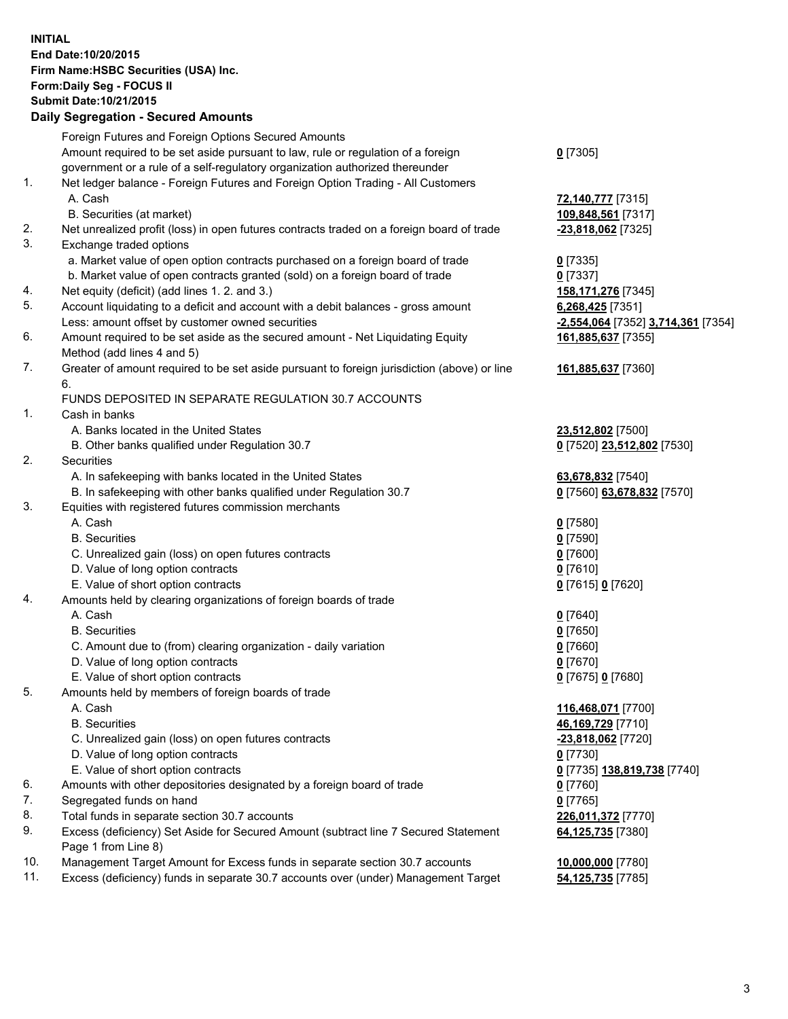**INITIAL End Date:10/20/2015 Firm Name:HSBC Securities (USA) Inc. Form:Daily Seg - FOCUS II Submit Date:10/21/2015 Daily Segregation - Secured Amounts**

## Foreign Futures and Foreign Options Secured Amounts Amount required to be set aside pursuant to law, rule or regulation of a foreign government or a rule of a self-regulatory organization authorized thereunder 1. Net ledger balance - Foreign Futures and Foreign Option Trading - All Customers A. Cash **72,140,777** [7315] B. Securities (at market) **109,848,561** [7317] 2. Net unrealized profit (loss) in open futures contracts traded on a foreign board of trade **-23,818,062** [7325] 3. Exchange traded options a. Market value of open option contracts purchased on a foreign board of trade **0** [7335] b. Market value of open contracts granted (sold) on a foreign board of trade **0** [7337] 4. Net equity (deficit) (add lines 1. 2. and 3.) **158,171,276** [7345] 5. Account liquidating to a deficit and account with a debit balances - gross amount **6,268,425** [7351] Less: amount offset by customer owned securities **-2,554,064** [7352] **3,714,361** [7354] 6. Amount required to be set aside as the secured amount - Net Liquidating Equity Method (add lines 4 and 5) 7. Greater of amount required to be set aside pursuant to foreign jurisdiction (above) or line 6. FUNDS DEPOSITED IN SEPARATE REGULATION 30.7 ACCOUNTS 1. Cash in banks A. Banks located in the United States **23,512,802** [7500] B. Other banks qualified under Regulation 30.7 **0** [7520] **23,512,802** [7530] 2. Securities A. In safekeeping with banks located in the United States **63,678,832** [7540] B. In safekeeping with other banks qualified under Regulation 30.7 **0** [7560] **63,678,832** [7570] 3. Equities with registered futures commission merchants A. Cash **0** [7580] B. Securities **0** [7590] C. Unrealized gain (loss) on open futures contracts **0** [7600] D. Value of long option contracts **0** [7610]

- 
- E. Value of short option contracts **0** [7615] **0** [7620]
- 4. Amounts held by clearing organizations of foreign boards of trade
	- A. Cash **0** [7640]
		-
	- C. Amount due to (from) clearing organization daily variation **0** [7660]
	- D. Value of long option contracts **0** [7670]
	- E. Value of short option contracts **0** [7675] **0** [7680]
- 5. Amounts held by members of foreign boards of trade
	-
	-
	- C. Unrealized gain (loss) on open futures contracts **-23,818,062** [7720]
	- D. Value of long option contracts **0** [7730]
	- E. Value of short option contracts **0** [7735] **138,819,738** [7740]
- 6. Amounts with other depositories designated by a foreign board of trade **0** [7760]
- 7. Segregated funds on hand **0** [7765]
- 8. Total funds in separate section 30.7 accounts **226,011,372** [7770]
- 9. Excess (deficiency) Set Aside for Secured Amount (subtract line 7 Secured Statement Page 1 from Line 8)
- 10. Management Target Amount for Excess funds in separate section 30.7 accounts **10,000,000** [7780]
- 11. Excess (deficiency) funds in separate 30.7 accounts over (under) Management Target **54,125,735** [7785]

**0** [7305]

**161,885,637** [7355]

**161,885,637** [7360]

B. Securities **0** [7650]

 A. Cash **116,468,071** [7700] B. Securities **46,169,729** [7710] **64,125,735** [7380]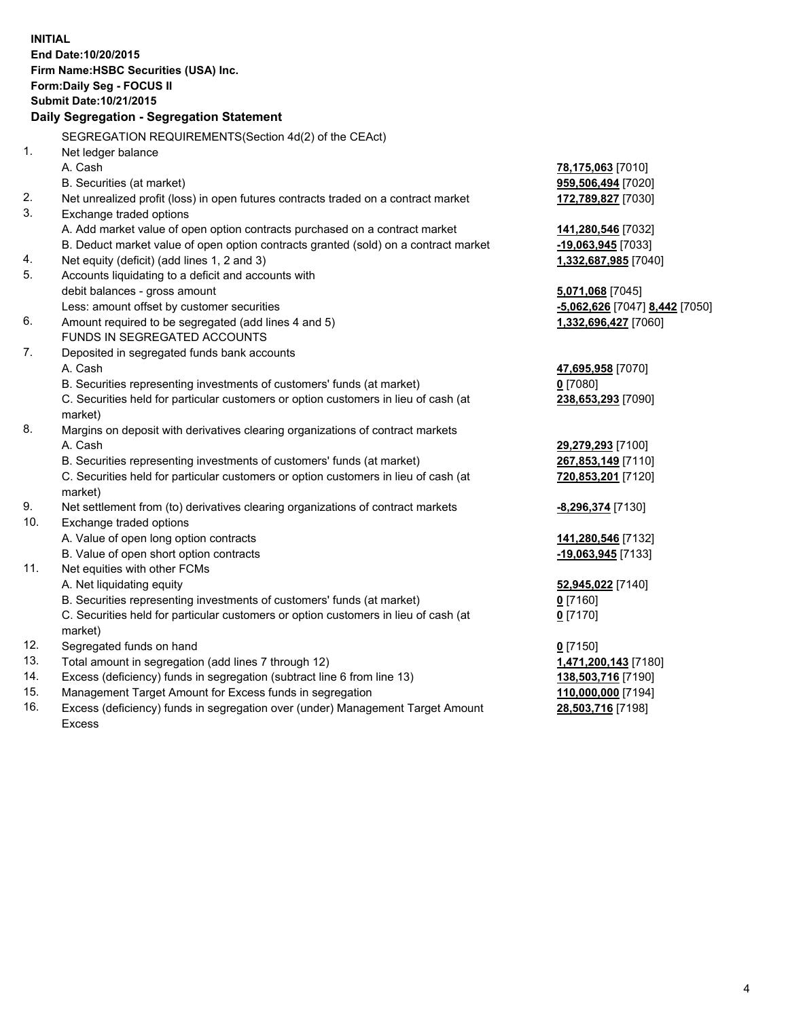**INITIAL End Date:10/20/2015 Firm Name:HSBC Securities (USA) Inc. Form:Daily Seg - FOCUS II Submit Date:10/21/2015 Daily Segregation - Segregation Statement** SEGREGATION REQUIREMENTS(Section 4d(2) of the CEAct) 1. Net ledger balance A. Cash **78,175,063** [7010] B. Securities (at market) **959,506,494** [7020] 2. Net unrealized profit (loss) in open futures contracts traded on a contract market **172,789,827** [7030] 3. Exchange traded options A. Add market value of open option contracts purchased on a contract market **141,280,546** [7032] B. Deduct market value of open option contracts granted (sold) on a contract market **-19,063,945** [7033] 4. Net equity (deficit) (add lines 1, 2 and 3) **1,332,687,985** [7040] 5. Accounts liquidating to a deficit and accounts with debit balances - gross amount **5,071,068** [7045] Less: amount offset by customer securities **-5,062,626** [7047] **8,442** [7050] 6. Amount required to be segregated (add lines 4 and 5) **1,332,696,427** [7060] FUNDS IN SEGREGATED ACCOUNTS 7. Deposited in segregated funds bank accounts A. Cash **47,695,958** [7070] B. Securities representing investments of customers' funds (at market) **0** [7080] C. Securities held for particular customers or option customers in lieu of cash (at market) **238,653,293** [7090] 8. Margins on deposit with derivatives clearing organizations of contract markets A. Cash **29,279,293** [7100] B. Securities representing investments of customers' funds (at market) **267,853,149** [7110] C. Securities held for particular customers or option customers in lieu of cash (at market) **720,853,201** [7120] 9. Net settlement from (to) derivatives clearing organizations of contract markets **-8,296,374** [7130] 10. Exchange traded options A. Value of open long option contracts **141,280,546** [7132] B. Value of open short option contracts **-19,063,945** [7133] 11. Net equities with other FCMs A. Net liquidating equity **52,945,022** [7140] B. Securities representing investments of customers' funds (at market) **0** [7160] C. Securities held for particular customers or option customers in lieu of cash (at market) **0** [7170] 12. Segregated funds on hand **0** [7150] 13. Total amount in segregation (add lines 7 through 12) **1,471,200,143** [7180] 14. Excess (deficiency) funds in segregation (subtract line 6 from line 13) **138,503,716** [7190] 15. Management Target Amount for Excess funds in segregation **110,000,000** [7194]

16. Excess (deficiency) funds in segregation over (under) Management Target Amount Excess

**28,503,716** [7198]